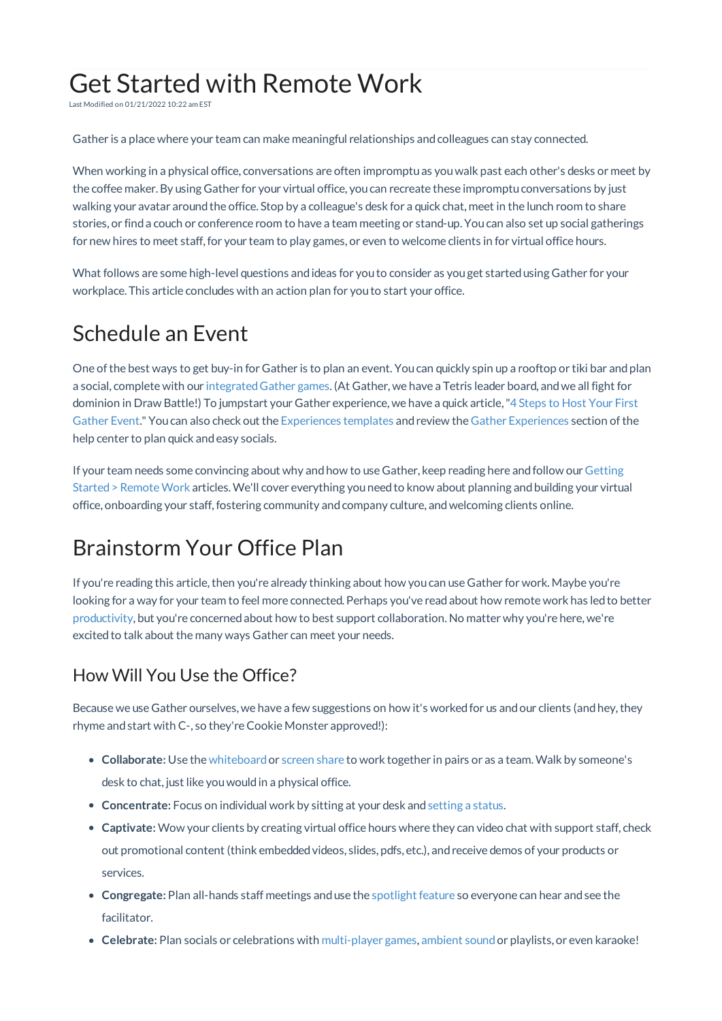# Get Started with Remote Work

Last Modified on 01/21/2022 10:22 am EST

Gather is a place where your team can make meaningful relationships andcolleagues can stay connected.

When working in a physical office, conversations are often impromptuas youwalk past each other's desks or meet by the coffee maker. By using Gather for your virtual office, youcan recreate these impromptuconversations by just walking your avatar around the office. Stop by a colleague's desk for a quick chat, meet in the lunch room to share stories, or finda couch or conference room to have a team meeting or stand-up. Youcan also set up social gatherings for new hires to meet staff, for your team to play games, or even to welcome clients in for virtual office hours.

What follows are some high-level questions andideas for youto consider as youget startedusing Gather for your workplace. This article concludes with an action plan for youto start your office.

### Schedule an Event

One of the best ways to get buy-in for Gather is to plan an event. You can quickly spin up a rooftop or tiki bar and plan a social, complete with our integratedGather games. (At Gather, we have a Tetris leader board, andwe all fight for dominion in Draw Battle!) To jumpstart your Gather experience, we have a quick article,"4 Steps to Host Your First Gather Event." Youcan also check out the Experiences templates andreview the Gather Experiences section ofthe help center to plan quick and easy socials.

If your team needs some convincing about why and how to use Gather, keep reading here and follow our Getting Started > Remote Work articles. We'll cover everything you need to know about planning and building your virtual office, onboarding your staff,fostering community andcompany culture, andwelcoming clients online.

# Brainstorm Your Office Plan

If you're reading this article, then you're already thinking about how you can use Gather for work. Maybe you're looking for a way for your team to feel more connected. Perhaps you've readabout how remote work has ledto better productivity, but you're concernedabout how to best support collaboration. No matter why you're here, we're excited to talk about the many ways Gather can meet your needs.

#### How Will You Use the Office?

Because we use Gather ourselves, we have a few suggestions on how it's worked for us and our clients (and hey, they rhyme and start with C-, so they're Cookie Monster approved!):

- **Collaborate:** Use the whiteboardor screen share to work together in pairs or as a team.Walk by someone's desk to chat, just like youwouldin a physical office.
- **Concentrate:** Focus on individual work by sitting at your desk and setting a status.
- **Captivate:** Wow your clients by creating virtual office hours where they can video chat with support staff, check out promotional content (think embeddedvideos, slides, pdfs, etc.), andreceive demos of your products or services.
- **Congregate:** Plan all-hands staff meetings anduse the spotlight feature so everyone can hear andsee the facilitator.
- **Celebrate:** Plan socials or celebrations with multi-player games, ambient soundor playlists, or even karaoke!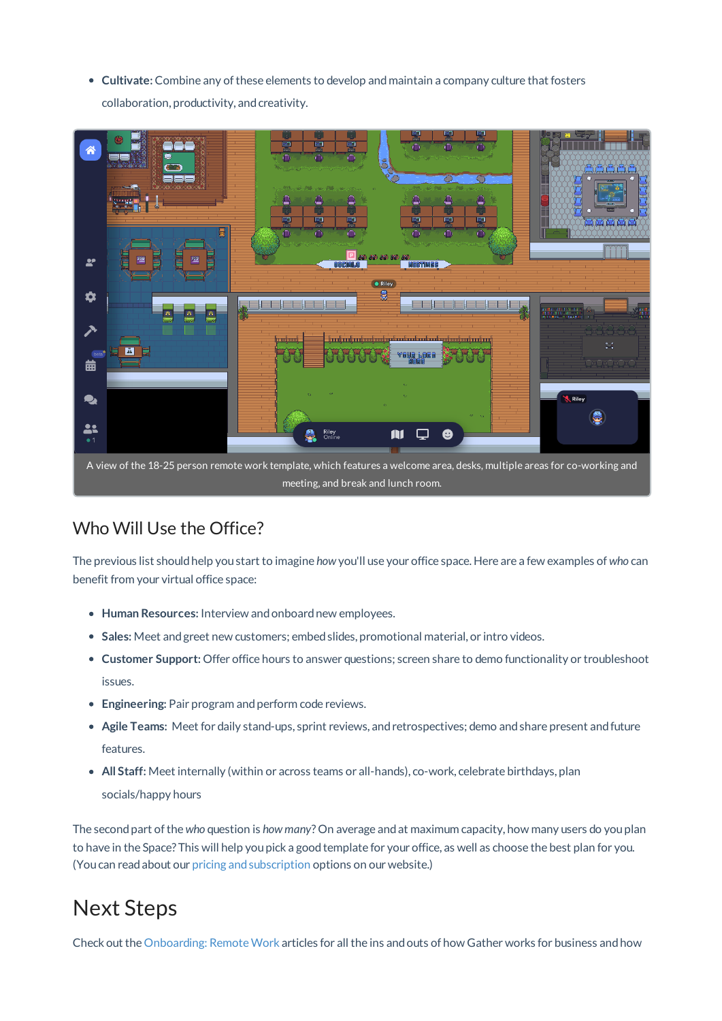**Cultivate:** Combine any ofthese elements to develop andmaintain a company culture that fosters collaboration, productivity, and creativity.



#### Who Will Use the Office?

The previous list shouldhelp youstart to imagine *how* you'll use your office space. Here are a few examples of *who* can benefit from your virtual office space:

- **Human Resources:** Interview andonboardnew employees.
- **Sales:** Meet andgreet new customers; embedslides, promotional material, or intro videos.
- **Customer Support:** Offer office hours to answer questions; screen share to demo functionality or troubleshoot issues.
- **Engineering:** Pair program and perform code reviews.
- **Agile Teams:** Meet for daily stand-ups, sprint reviews, and retrospectives; demo and share present and future features.
- **All Staff:** Meet internally (within or across teams or all-hands), co-work, celebrate birthdays, plan socials/happy hours

The secondpart ofthe *who* question is *how many*? On average andat maximum capacity, how many users do youplan to have in the Space? This will help you pick a good template for your office, as well as choose the best plan for you. (Youcan readabout our pricing andsubscription options on our website.)

## Next Steps

Check out the Onboarding: Remote Work articles for all the ins and outs of how Gather works for business and how